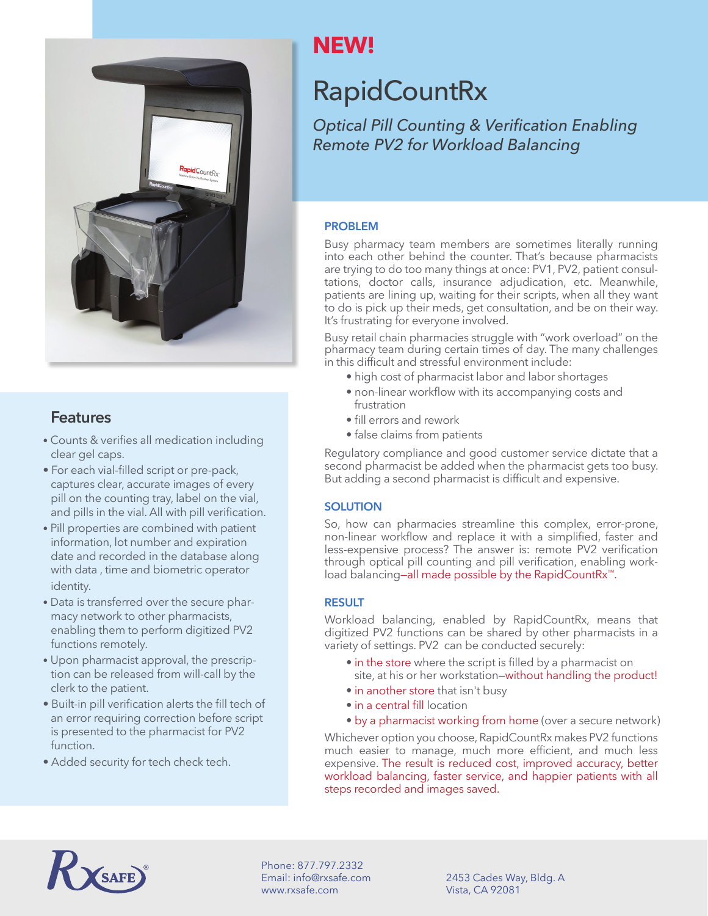

#### **Features**

- Counts & verifies all medication including clear gel caps.
- For each vial-filled script or pre-pack, captures clear, accurate images of every pill on the counting tray, label on the vial, and pills in the vial. All with pill verification.
- Pill properties are combined with patient information, lot number and expiration date and recorded in the database along with data , time and biometric operator identity.
- Data is transferred over the secure pharmacy network to other pharmacists, enabling them to perform digitized PV2 functions remotely.
- Upon pharmacist approval, the prescription can be released from will-call by the clerk to the patient.
- Built-in pill verification alerts the fill tech of an error requiring correction before script is presented to the pharmacist for PV2 function.
- Added security for tech check tech.

## **NEW!**

# RapidCountRx

*Optical Pill Counting & Verification Enabling Remote PV2 for Workload Balancing*

#### **PROBLEM**

Busy pharmacy team members are sometimes literally running into each other behind the counter. That's because pharmacists are trying to do too many things at once: PV1, PV2, patient consultations, doctor calls, insurance adjudication, etc. Meanwhile, patients are lining up, waiting for their scripts, when all they want to do is pick up their meds, get consultation, and be on their way. It's frustrating for everyone involved.

Busy retail chain pharmacies struggle with "work overload" on the pharmacy team during certain times of day. The many challenges in this difficult and stressful environment include:

- high cost of pharmacist labor and labor shortages
- non-linear workflow with its accompanying costs and frustration
- fill errors and rework
- false claims from patients

Regulatory compliance and good customer service dictate that a second pharmacist be added when the pharmacist gets too busy. But adding a second pharmacist is difficult and expensive.

#### **SOLUTION**

So, how can pharmacies streamline this complex, error-prone, non-linear workflow and replace it with a simplified, faster and less-expensive process? The answer is: remote PV2 verification through optical pill counting and pill verification, enabling workload balancing—all made possible by the RapidCountRx™.

#### **RESULT**

Workload balancing, enabled by RapidCountRx, means that digitized PV2 functions can be shared by other pharmacists in a variety of settings. PV2 can be conducted securely:

- in the store where the script is filled by a pharmacist on site, at his or her workstation—without handling the product!
- in another store that isn't busy
- in a central fill location
- by a pharmacist working from home (over a secure network)

Whichever option you choose, RapidCountRx makes PV2 functions much easier to manage, much more efficient, and much less expensive. The result is reduced cost, improved accuracy, better workload balancing, faster service, and happier patients with all steps recorded and images saved.



Phone: 877.797.2332 Email: info@rxsafe.com www.rxsafe.com